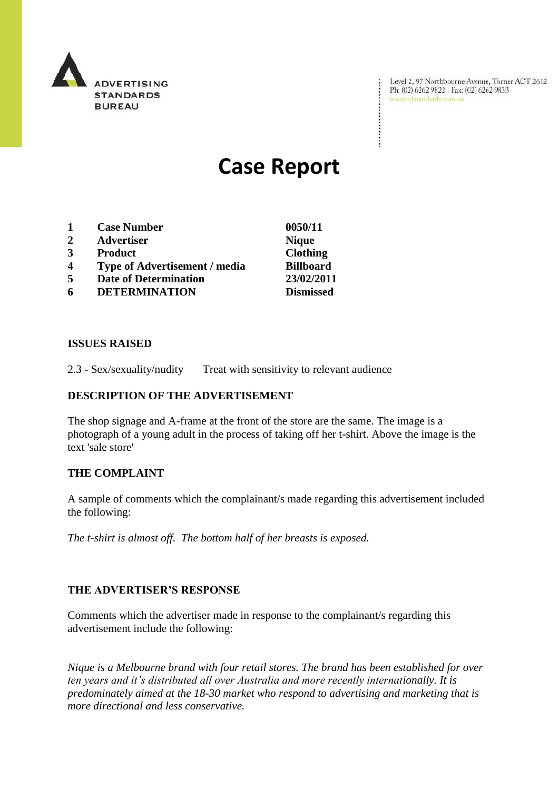

Level 2, 97 Northbourne Avenue, Turne<br>Ph: (02) 6262 9822 | Fax: (02) 6262 9833<br>www.adstandards.com.au Level 2, 97 Northbourne Avenue, Turner ACT 2612

÷

# **Case Report**

- **1 Case Number 0050/11**
- **2 Advertiser Nique**
- **3 Product Clothing**
- **4 Type of Advertisement / media Billboard**
- **5 Date of Determination 23/02/2011**
- **6 DETERMINATION Dismissed**

## **ISSUES RAISED**

2.3 - Sex/sexuality/nudity Treat with sensitivity to relevant audience

## **DESCRIPTION OF THE ADVERTISEMENT**

The shop signage and A-frame at the front of the store are the same. The image is a photograph of a young adult in the process of taking off her t-shirt. Above the image is the text 'sale store'

#### **THE COMPLAINT**

A sample of comments which the complainant/s made regarding this advertisement included the following:

*The t-shirt is almost off. The bottom half of her breasts is exposed.*

#### **THE ADVERTISER'S RESPONSE**

Comments which the advertiser made in response to the complainant/s regarding this advertisement include the following:

*Nique is a Melbourne brand with four retail stores. The brand has been established for over ten years and it's distributed all over Australia and more recently internationally. It is predominately aimed at the 18-30 market who respond to advertising and marketing that is more directional and less conservative.*